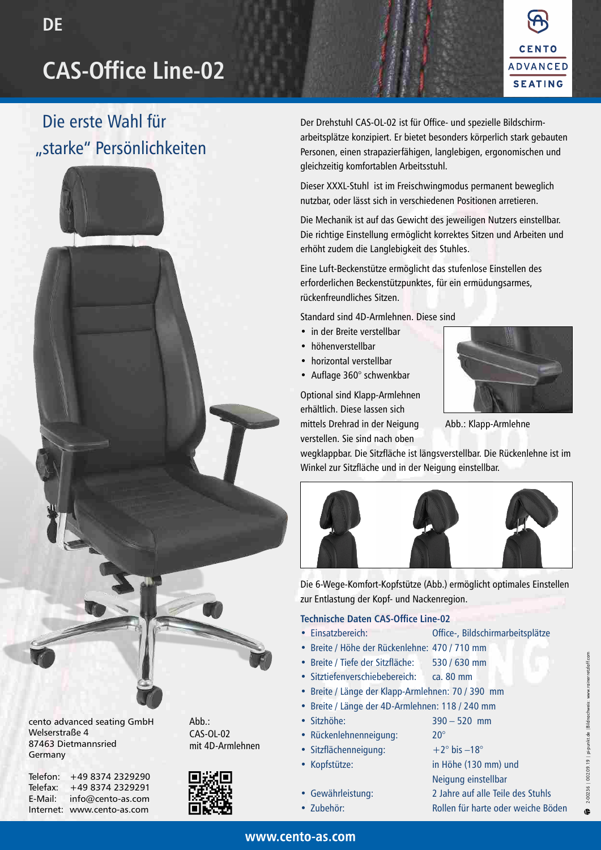# **CAS-Office Line-02**



## Die erste Wahl für "starke" Persönlichkeiten



cento advanced seating GmbH Welserstraße 4 87463 Dietmannsried Germany

| Telefon:  | +49 8374 2329290  |
|-----------|-------------------|
| Telefax:  | +49 8374 2329291  |
| E-Mail:   | info@cento-as.com |
| Internet: | www.cento-as.com  |



Abb.: CAS-OL-02



Der Drehstuhl CAS-OL-02 ist für Office- und spezielle Bildschirmarbeitsplätze konzipiert. Er bietet besonders körperlich stark gebauten Personen, einen strapazierfähigen, langlebigen, ergonomischen und gleichzeitig komfortablen Arbeitsstuhl.

Dieser XXXL-Stuhl ist im Freischwingmodus permanent beweglich nutzbar, oder lässt sich in verschiedenen Positionen arretieren.

Die Mechanik ist auf das Gewicht des jeweiligen Nutzers einstellbar. Die richtige Einstellung ermöglicht korrektes Sitzen und Arbeiten und erhöht zudem die Langlebigkeit des Stuhles.

Eine Luft-Beckenstütze ermöglicht das stufenlose Einstellen des erforderlichen Beckenstützpunktes, für ein ermüdungsarmes, rückenfreundliches Sitzen.

Standard sind 4D-Armlehnen. Diese sind

- in der Breite verstellbar
- höhenverstellbar
- horizontal verstellbar
- Auflage 360° schwenkbar

Optional sind Klapp-Armlehnen erhältlich. Diese lassen sich mittels Drehrad in der Neigung verstellen. Sie sind nach oben



Abb.: Klapp-Armlehne

wegklappbar. Die Sitzfläche ist längsverstellbar. Die Rückenlehne ist im Winkel zur Sitzfläche und in der Neigung einstellbar.



Die 6-Wege-Komfort-Kopfstütze (Abb.) ermöglicht optimales Einstellen zur Entlastung der Kopf- und Nackenregion.

### **Technische Daten CAS-Office Line-02**

- Einsatzbereich: Office-, Bildschirmarbeitsplätze
	- Breite / Höhe der Rückenlehne: 470 / 710 mm
- Breite / Tiefe der Sitzfläche: 530 / 630 mm
- Sitztiefenverschiebebereich: ca. 80 mm
- Breite / Länge der Klapp-Armlehnen: 70 / 390 mm
- Breite / Länge der 4D-Armlehnen: 118 / 240 mm
- Sitzhöhe: 390 520 mm
- Rückenlehnenneigung: 20°
- Sitzflächenneigung:  $+2^{\circ}$  bis  $-18^{\circ}$
- 
- Kopfstütze: in Höhe (130 mm) und Neigung einstellbar • Gewährleistung: 2 Jahre auf alle Teile des Stuhls • Zubehör: Rollen für harte oder weiche Böden